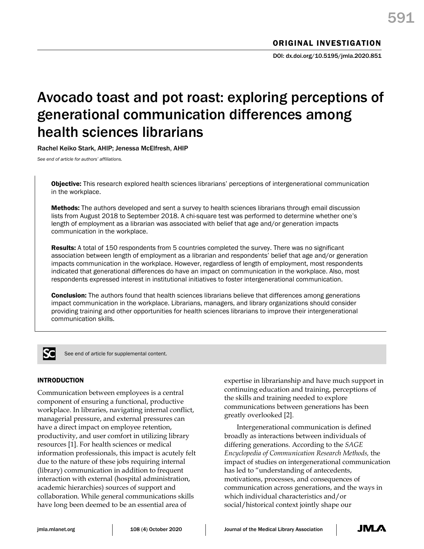# Avocado toast and pot roast: exploring perceptions of generational communication differences among health sciences librarians

Rachel Keiko Stark, AHIP; Jenessa McElfresh, AHIP

*See end of article for authors' affiliations.*

**Objective:** This research explored health sciences librarians' perceptions of intergenerational communication in the workplace.

**Methods:** The authors developed and sent a survey to health sciences librarians through email discussion lists from August 2018 to September 2018. A chi-square test was performed to determine whether one's length of employment as a librarian was associated with belief that age and/or generation impacts communication in the workplace.

Results: A total of 150 respondents from 5 countries completed the survey. There was no significant association between length of employment as a librarian and respondents' belief that age and/or generation impacts communication in the workplace. However, regardless of length of employment, most respondents indicated that generational differences do have an impact on communication in the workplace. Also, most respondents expressed interest in institutional initiatives to foster intergenerational communication.

**Conclusion:** The authors found that health sciences librarians believe that differences among generations impact communication in the workplace. Librarians, managers, and library organizations should consider providing training and other opportunities for health sciences librarians to improve their intergenerational communication skills.



See end of article for supplemental content.

## INTRODUCTION

Communication between employees is a central component of ensuring a functional, productive workplace. In libraries, navigating internal conflict, managerial pressure, and external pressures can have a direct impact on employee retention, productivity, and user comfort in utilizing library resources [1]. For health sciences or medical information professionals, this impact is acutely felt due to the nature of these jobs requiring internal (library) communication in addition to frequent interaction with external (hospital administration, academic hierarchies) sources of support and collaboration. While general communications skills have long been deemed to be an essential area of

expertise in librarianship and have much support in continuing education and training, perceptions of the skills and training needed to explore communications between generations has been greatly overlooked [2].

Intergenerational communication is defined broadly as interactions between individuals of differing generations. According to the *SAGE Encyclopedia of Communication Research Methods,* the impact of studies on intergenerational communication has led to "understanding of antecedents, motivations, processes, and consequences of communication across generations, and the ways in which individual characteristics and/or social/historical context jointly shape our

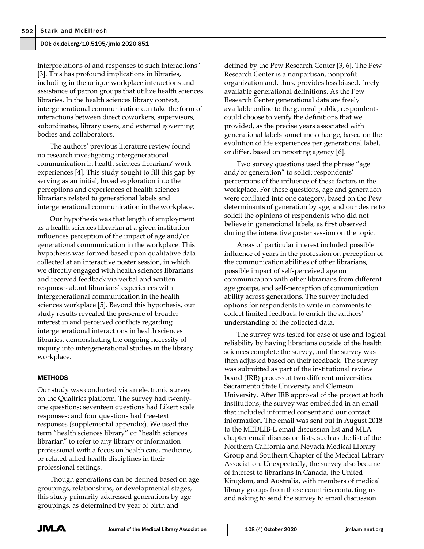interpretations of and responses to such interactions" [3]. This has profound implications in libraries, including in the unique workplace interactions and assistance of patron groups that utilize health sciences libraries. In the health sciences library context, intergenerational communication can take the form of interactions between direct coworkers, supervisors, subordinates, library users, and external governing bodies and collaborators.

The authors' previous literature review found no research investigating intergenerational communication in health sciences librarians' work experiences [4]. This study sought to fill this gap by serving as an initial, broad exploration into the perceptions and experiences of health sciences librarians related to generational labels and intergenerational communication in the workplace.

Our hypothesis was that length of employment as a health sciences librarian at a given institution influences perception of the impact of age and/or generational communication in the workplace. This hypothesis was formed based upon qualitative data collected at an interactive poster session, in which we directly engaged with health sciences librarians and received feedback via verbal and written responses about librarians' experiences with intergenerational communication in the health sciences workplace [5]. Beyond this hypothesis, our study results revealed the presence of broader interest in and perceived conflicts regarding intergenerational interactions in health sciences libraries, demonstrating the ongoing necessity of inquiry into intergenerational studies in the library workplace.

## **METHODS**

Our study was conducted via an electronic survey on the Qualtrics platform. The survey had twentyone questions; seventeen questions had Likert scale responses; and four questions had free-text responses (supplemental appendix). We used the term "health sciences library" or "health sciences librarian" to refer to any library or information professional with a focus on health care, medicine, or related allied health disciplines in their professional settings.

Though generations can be defined based on age groupings, relationships, or developmental stages, this study primarily addressed generations by age groupings, as determined by year of birth and

defined by the Pew Research Center [3, 6]. The Pew Research Center is a nonpartisan, nonprofit organization and, thus, provides less biased, freely available generational definitions. As the Pew Research Center generational data are freely available online to the general public, respondents could choose to verify the definitions that we provided, as the precise years associated with generational labels sometimes change, based on the evolution of life experiences per generational label, or differ, based on reporting agency [6].

Two survey questions used the phrase "age and/or generation" to solicit respondents' perceptions of the influence of these factors in the workplace. For these questions, age and generation were conflated into one category, based on the Pew determinants of generation by age, and our desire to solicit the opinions of respondents who did not believe in generational labels, as first observed during the interactive poster session on the topic.

Areas of particular interest included possible influence of years in the profession on perception of the communication abilities of other librarians, possible impact of self-perceived age on communication with other librarians from different age groups, and self-perception of communication ability across generations. The survey included options for respondents to write in comments to collect limited feedback to enrich the authors' understanding of the collected data.

The survey was tested for ease of use and logical reliability by having librarians outside of the health sciences complete the survey, and the survey was then adjusted based on their feedback. The survey was submitted as part of the institutional review board (IRB) process at two different universities: Sacramento State University and Clemson University. After IRB approval of the project at both institutions, the survey was embedded in an email that included informed consent and our contact information. The email was sent out in August 2018 to the MEDLIB-L email discussion list and MLA chapter email discussion lists, such as the list of the Northern California and Nevada Medical Library Group and Southern Chapter of the Medical Library Association. Unexpectedly, the survey also became of interest to librarians in Canada, the United Kingdom, and Australia, with members of medical library groups from those countries contacting us and asking to send the survey to email discussion

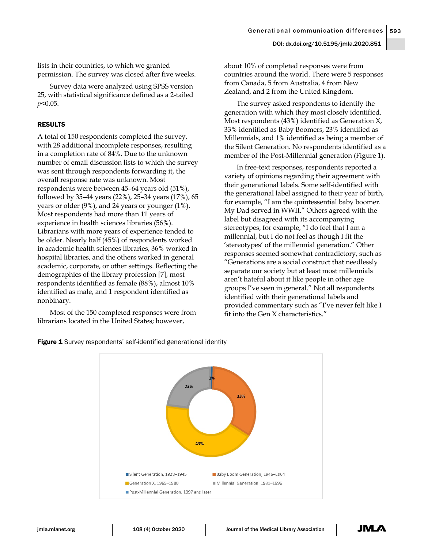lists in their countries, to which we granted permission. The survey was closed after five weeks.

Survey data were analyzed using SPSS version 25, with statistical significance defined as a 2-tailed *p*<0.05.

## RESULTS

A total of 150 respondents completed the survey, with 28 additional incomplete responses, resulting in a completion rate of 84%. Due to the unknown number of email discussion lists to which the survey was sent through respondents forwarding it, the overall response rate was unknown. Most respondents were between 45–64 years old (51%), followed by 35–44 years (22%), 25–34 years (17%), 65 years or older (9%), and 24 years or younger (1%). Most respondents had more than 11 years of experience in health sciences libraries (56%). Librarians with more years of experience tended to be older. Nearly half (45%) of respondents worked in academic health sciences libraries, 36% worked in hospital libraries, and the others worked in general academic, corporate, or other settings. Reflecting the demographics of the library profession [7], most respondents identified as female (88%), almost 10% identified as male, and 1 respondent identified as nonbinary.

Most of the 150 completed responses were from librarians located in the United States; however,

about 10% of completed responses were from countries around the world. There were 5 responses from Canada, 5 from Australia, 4 from New Zealand, and 2 from the United Kingdom.

The survey asked respondents to identify the generation with which they most closely identified. Most respondents (43%) identified as Generation X, 33% identified as Baby Boomers, 23% identified as Millennials, and 1% identified as being a member of the Silent Generation. No respondents identified as a member of the Post-Millennial generation (Figure 1).

In free-text responses, respondents reported a variety of opinions regarding their agreement with their generational labels. Some self-identified with the generational label assigned to their year of birth, for example, "I am the quintessential baby boomer. My Dad served in WWII." Others agreed with the label but disagreed with its accompanying stereotypes, for example, "I do feel that I am a millennial, but I do not feel as though I fit the 'stereotypes' of the millennial generation." Other responses seemed somewhat contradictory, such as "Generations are a social construct that needlessly separate our society but at least most millennials aren't hateful about it like people in other age groups I've seen in general." Not all respondents identified with their generational labels and provided commentary such as "I've never felt like I fit into the Gen X characteristics."



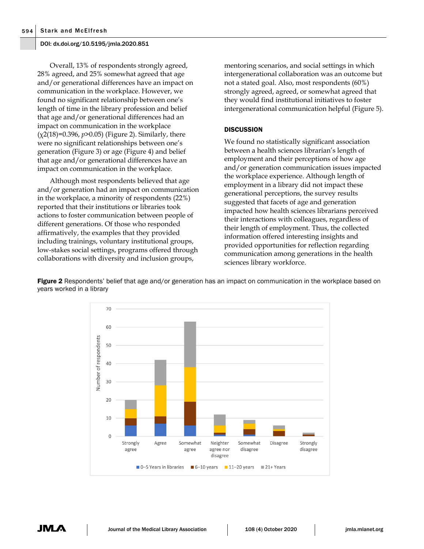Overall, 13% of respondents strongly agreed, 28% agreed, and 25% somewhat agreed that age and/or generational differences have an impact on communication in the workplace. However, we found no significant relationship between one's length of time in the library profession and belief that age and/or generational differences had an impact on communication in the workplace (χ2(18)=0.396, *p*>0.05) (Figure 2). Similarly, there were no significant relationships between one's generation (Figure 3) or age (Figure 4) and belief that age and/or generational differences have an impact on communication in the workplace.

Although most respondents believed that age and/or generation had an impact on communication in the workplace, a minority of respondents (22%) reported that their institutions or libraries took actions to foster communication between people of different generations. Of those who responded affirmatively, the examples that they provided including trainings, voluntary institutional groups, low-stakes social settings, programs offered through collaborations with diversity and inclusion groups,

mentoring scenarios, and social settings in which intergenerational collaboration was an outcome but not a stated goal. Also, most respondents (60%) strongly agreed, agreed, or somewhat agreed that they would find institutional initiatives to foster intergenerational communication helpful (Figure 5).

## **DISCUSSION**

We found no statistically significant association between a health sciences librarian's length of employment and their perceptions of how age and/or generation communication issues impacted the workplace experience. Although length of employment in a library did not impact these generational perceptions, the survey results suggested that facets of age and generation impacted how health sciences librarians perceived their interactions with colleagues, regardless of their length of employment. Thus, the collected information offered interesting insights and provided opportunities for reflection regarding communication among generations in the health sciences library workforce.

**Figure 2** Respondents' belief that age and/or generation has an impact on communication in the workplace based on years worked in a library



JML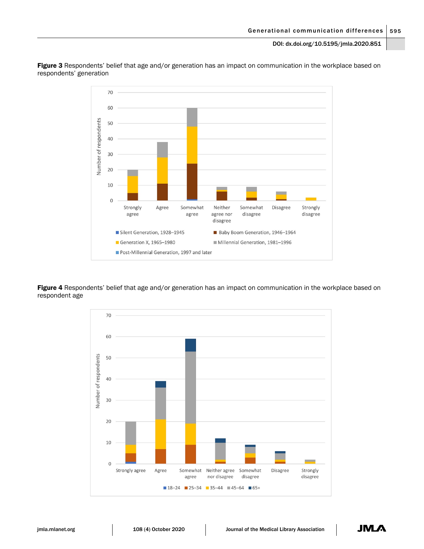

Figure 3 Respondents' belief that age and/or generation has an impact on communication in the workplace based on respondents' generation

Figure 4 Respondents' belief that age and/or generation has an impact on communication in the workplace based on respondent age

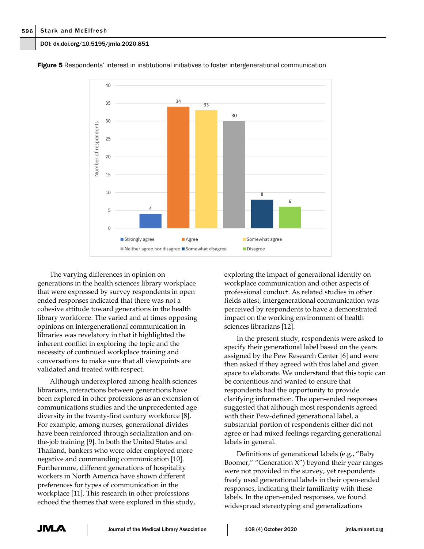

**Figure 5** Respondents' interest in institutional initiatives to foster intergenerational communication

The varying differences in opinion on generations in the health sciences library workplace that were expressed by survey respondents in open ended responses indicated that there was not a cohesive attitude toward generations in the health library workforce. The varied and at times opposing opinions on intergenerational communication in libraries was revelatory in that it highlighted the inherent conflict in exploring the topic and the necessity of continued workplace training and conversations to make sure that all viewpoints are validated and treated with respect.

Although underexplored among health sciences librarians, interactions between generations have been explored in other professions as an extension of communications studies and the unprecedented age diversity in the twenty-first century workforce [8]. For example, among nurses, generational divides have been reinforced through socialization and onthe-job training [9]. In both the United States and Thailand, bankers who were older employed more negative and commanding communication [10]. Furthermore, different generations of hospitality workers in North America have shown different preferences for types of communication in the workplace [11]. This research in other professions echoed the themes that were explored in this study,

exploring the impact of generational identity on workplace communication and other aspects of professional conduct. As related studies in other fields attest, intergenerational communication was perceived by respondents to have a demonstrated impact on the working environment of health sciences librarians [12].

In the present study, respondents were asked to specify their generational label based on the years assigned by the Pew Research Center [6] and were then asked if they agreed with this label and given space to elaborate. We understand that this topic can be contentious and wanted to ensure that respondents had the opportunity to provide clarifying information. The open-ended responses suggested that although most respondents agreed with their Pew-defined generational label, a substantial portion of respondents either did not agree or had mixed feelings regarding generational labels in general.

Definitions of generational labels (e.g., "Baby Boomer," "Generation X") beyond their year ranges were not provided in the survey, yet respondents freely used generational labels in their open-ended responses, indicating their familiarity with these labels. In the open-ended responses, we found widespread stereotyping and generalizations